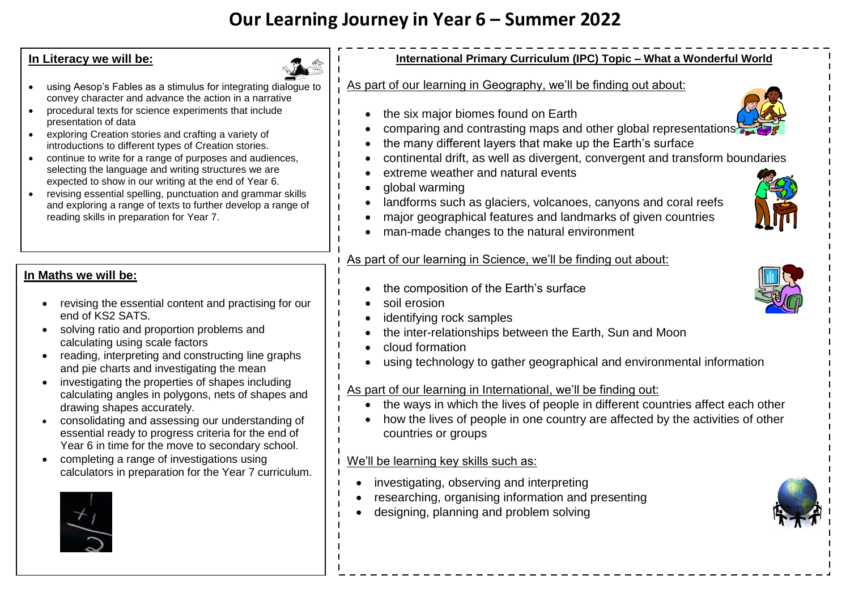# **Our Learning Journey in Year 6 – Summer 2022**

## **In Literacy we will be:**

- using Aesop's Fables as a stimulus for integrating dialogue to convey character and advance the action in a narrative
- procedural texts for science experiments that include presentation of data
- exploring Creation stories and crafting a variety of introductions to different types of Creation stories.
- continue to write for a range of purposes and audiences, selecting the language and writing structures we are expected to show in our writing at the end of Year 6.
- revising essential spelling, punctuation and grammar skills and exploring a range of texts to further develop a range of reading skills in preparation for Year 7.

# **In Maths we will be:**

- revising the essential content and practising for our end of KS2 SATS.
- solving ratio and proportion problems and calculating using scale factors
- reading, interpreting and constructing line graphs and pie charts and investigating the mean
- investigating the properties of shapes including calculating angles in polygons, nets of shapes and drawing shapes accurately.
- consolidating and assessing our understanding of essential ready to progress criteria for the end of Year 6 in time for the move to secondary school.
- completing a range of investigations using calculators in preparation for the Year 7 curriculum.



## **International Primary Curriculum (IPC) Topic – What a Wonderful World**

#### As part of our learning in Geography, we'll be finding out about:

- the six major biomes found on Earth
- comparing and contrasting maps and other global representations
- the many different layers that make up the Earth's surface
- continental drift, as well as divergent, convergent and transform boundaries
- extreme weather and natural events
- global warming
- landforms such as glaciers, volcanoes, canyons and coral reefs
- major geographical features and landmarks of given countries
- man-made changes to the natural environment

# As part of our learning in Science, we'll be finding out about:

- the composition of the Earth's surface
- soil erosion
- identifying rock samples
- the inter-relationships between the Earth, Sun and Moon
- cloud formation
- using technology to gather geographical and environmental information

#### As part of our learning in International, we'll be finding out:

- the ways in which the lives of people in different countries affect each other
- how the lives of people in one country are affected by the activities of other countries or groups

#### We'll be learning key skills such as:

- investigating, observing and interpreting
- researching, organising information and presenting
- designing, planning and problem solving